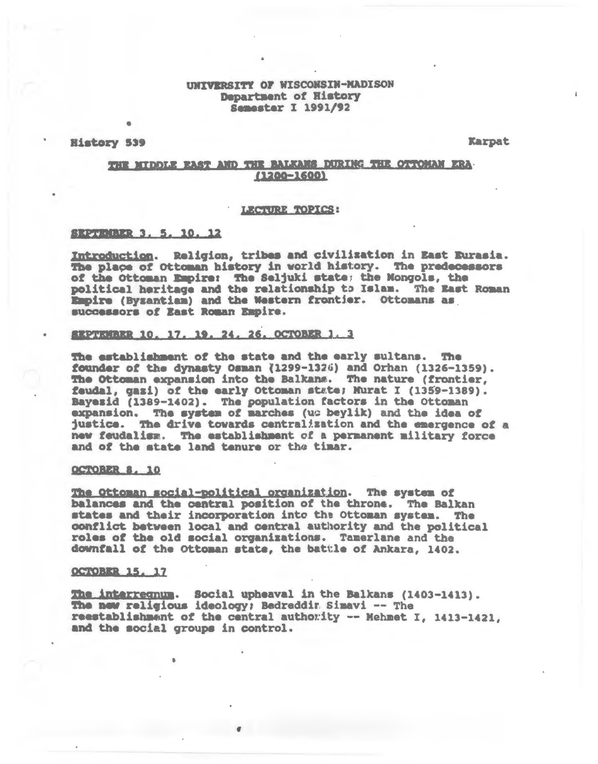# UNIVERSITY OF WISCONSIN-MADISON Department of History **Semester I 1991/92**

History 539

Karpat

# THE NIDDLE EAST AND THE BALKANS DURING THE OFFOMAN ERA- $(1200 - 1600)$

#### LECTURE TOPICS:

## SEPTRIBER 3, 5, 10, 12

Introduction. Religion, tribes and civilization in East Eurasia. The place of Ottoman history in world history. The predecessors of the Ottoman Empire: The Seljuki state; the Mongols, the political heritage and the relationship to Islam. The East Roman Empire (Byzantian) and the Western frontier. Ottomans as successors of East Roman Empire.

#### SEPTEMBER 10, 17, 19, 24, 26, OCTOBER 1, 3

The establishment of the state and the early sultans. The founder of the dynasty Osman (1299-1326) and Orhan (1326-1359). The Ottoman expansion into the Balkans. The nature (frontier. feudal, gazi) of the early Ottoman state; Murat I (1359-1389). Bayesid (1389-1402). The population factors in the Ottoman expansion. The system of marches (us beylik) and the idea of justice. The drive towards centralization and the emergence of a new feudalism. The establishment of a permanent military force and of the state land tenure or the timar.

#### OCTOBER 8, 10

The Ottoman social-political organization. The system of balances and the central position of the throne. The Balkan states and their incorporation into the Ottoman system. The conflict between local and central authority and the political roles of the old social organizations. Tamerlane and the downfall of the Ottoman state, the battle of Ankara, 1402.

## OCTOBER 15, 17

The interregnum. Social upheaval in the Balkans (1403-1413). The new religious ideology; Bedreddir Simavi -- The reestablishment of the central authority -- Mehmet I, 1413-1421, and the social groups in control.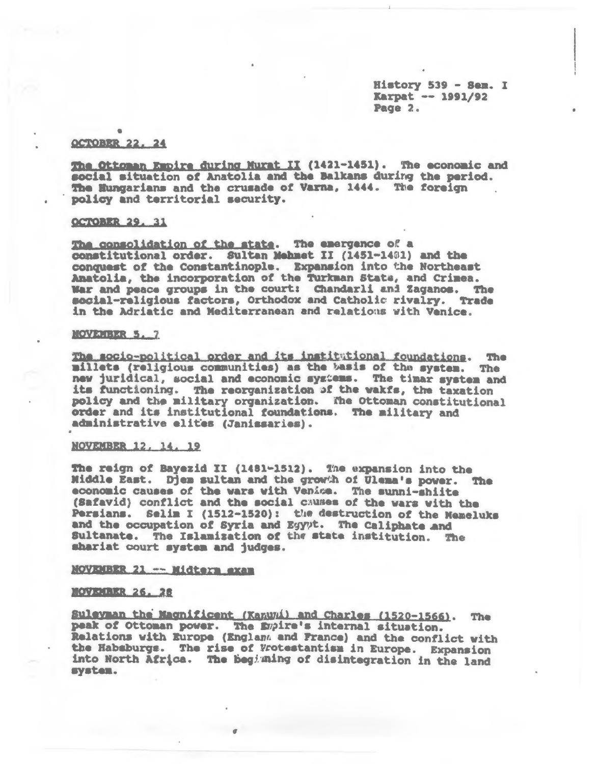History 539 - Sem. I Karpat -- 1991/92 Page 2.

#### **OCTOBER 22, 24**

The Ottoman Empire during Murat II (1421-1451). The economic and social situation of Anatolia and the Balkans during the period. The Hungarians and the crusade of Varna, 1444. The foreign policy and territorial security.

#### **OCTOBER 29, 31**

The consolidation of the state. The emergence of a constitutional order. Sultan Mehmet II (1451-1481) and the conquest of the Constantinople. Expansion into the Northeast Anatolia, the incorporation of the Turkman State, and Crimea. War and peace groups in the court: Chandarli and Zaganos. The social-religious factors, Orthodox and Catholic rivalry. Trade in the Adriatic and Mediterranean and relations with Venice.

#### NOVEMBER 5.7

The socio-political order and its institutional foundations. The millets (religious communities) as the basis of the system. The new juridical, social and economic systems. The timar system and its functioning. The reorganization of the wakfs, the taxation policy and the military organization. The Ottoman constitutional order and its institutional foundations. The military and administrative elites (Janissaries).

#### NOVEMBER 12, 14, 19

The reign of Bayezid II (1481-1512). The expansion into the Middle East. Djem sultan and the growth of Ulema's power. The economic causes of the wars with Venice. The sunni-shiite (Safavid) conflict and the social causes of the wars with the Persians. Selim I (1512-1520): the destruction of the Memeluks and the occupation of Syria and Egypt. The Caliphate and Sultanate. The Islamization of the state institution. The shariat court system and judges.

## NOVEMBER 21 -- Midters exam

#### MOVEMER 26, 28

Sulevman the Magnificent (Kanuyi) and Charles (1520-1566). The peak of Ottoman power. The Empire's internal situation.<br>Relations with Europe (Englant and France) and the conflict with the Habsburgs. The rise of Wotestantism in Europe. Expansion into North Africa. The beginning of disintegration in the land system.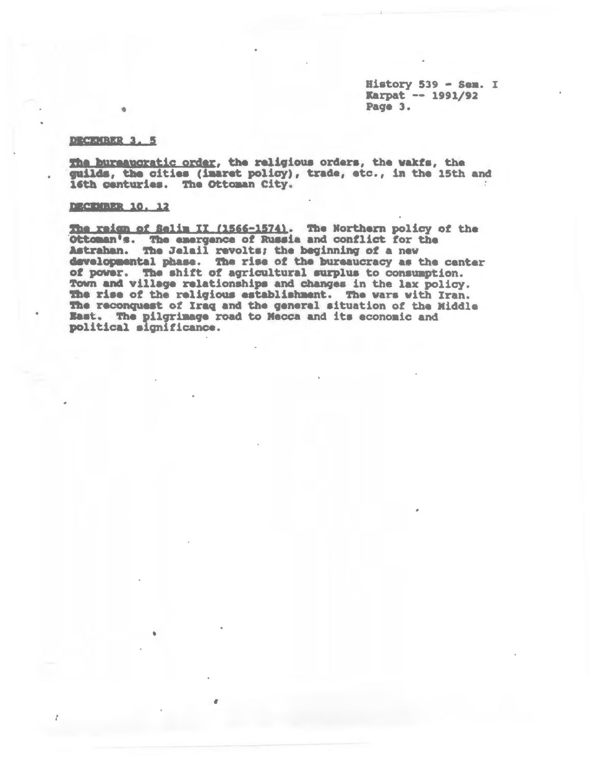History 539 - Sem. I Karpat -- 1991/92 Page 3.

#### DROUGHER 3. 5

The bureaucratic order, the religious orders, the wakfs, the guilds, the cities (imaret policy), trade, etc., in the 15th and 16th centuries. The Ottoman City.

## **DECEMBER 10, 12**

The reign of Selim II (1566-1574). The Northern policy of the Ottoman's. The energence of Russia and conflict for the Astrahan. The Jelail revolts; the beginning of a new developmental phase. The rise of the bureaucracy as the center of power. The shift of agricultural surplus to consumption. Town and village relationships and changes in the lax policy. The rise of the religious establishment. The wars with Iran. The reconquest of Iraq and the general situation of the Middle East. The pilgrimage road to Mecca and its economic and political significance.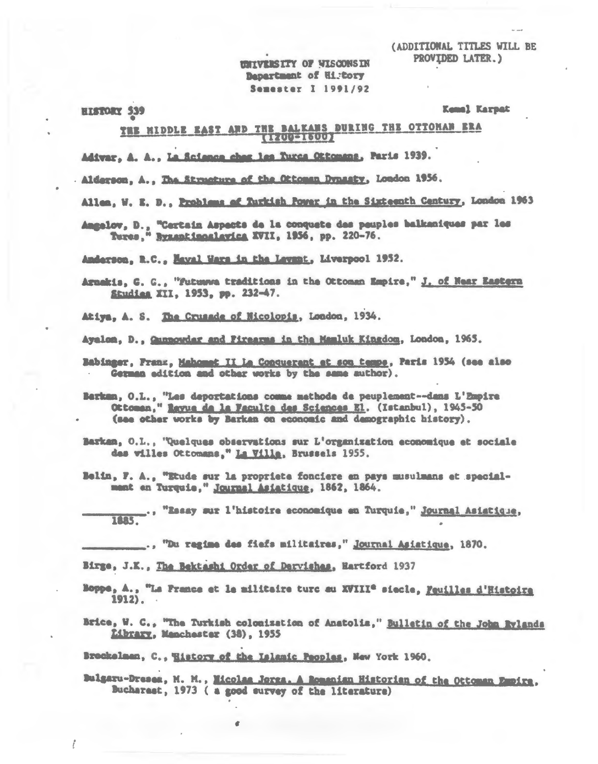(ADDITIONAL TITLES WILL BE PROVIDED LATER.)

**UNIVERSITY OF MISCONSIN Bapartment of History** Semester I 1991/92

**HISTORY 539** 

Kemal Karpat

# THE MIDDLE EAST AND THE BALKANS DURING THE OTTOMAN ERA **ELECTRIC**

Adivar, A. A., La Science chez les Turcs Ottomans, Paris 1939.

. Alderson, A., The Structure of the Ottoman Dynasty, London 1956.

Allen, W. E. D., Problems of Turkish Power in the Sixteenth Century, London 1963

Angelov, D., "Certain Aspects de la conquete des peuples balkaniques par les Tures," Byzantinoslavica XVII, 1956, pp. 220-76.

Anderson, R.C., Mayal Wars in the Levant, Liverpool 1952.

Arnakis, G. G., "Futuwwa traditions in the Ottoman Empire," J. of Near Eastern Studies XII, 1953, pp. 232-47.

Atiya, A. S. The Crusade of Nicolopis, London, 1934.

Ayalon, D., Gunnowdar and Firearms in the Mamluk Kingdom, London, 1965.

Babinger, Franz, Mahomet II La Conquerant et son tempe, Paris 1954 (see also German edition and other works by the same author).

Belin, F. A., "Etude sur la propriete fonciere en pays musulmans et specialmant en Turquie," Journal Asiatique, 1862, 1864.

"Essay sur l'histoire economique en Turquie," Journal Asiatique, **TTTLE** 

..., "Du regime des fiefs militaires," Journal Asiatique, 1870.

Birge, J.K., The Bektashi Order of Dervishes, Hartford 1937

- Boppe, A., "La France et le militaire turc au XVIII<sup>e</sup> siecle, Feuilles d'Histoire 1912).
- Brice, W. C., "The Turkish colonization of Anatolia," Bulletin of the John Rylands Library, Manchester (38), 1955

Brockelman, C., History of the Islanic Peoples, New York 1960.

Bulgaru-Dreses, M. M., Micolas Jorga. A Romanian Historian of the Ottoman Empire, Bucharast, 1973 ( a good survey of the literature)

Barkan, O.L., "Les deportations comme mathode de peuplement--dans L'Empire Ottoman," Rayua da la Faculta des Sciences El. (Istanbul), 1945-50 (see other works by Barkan on economic and demographic history).

Barkan, O.L., 'Quelques observations sur L'organization economique et sociale des villes Ottomans," La Villa, Brussels 1955.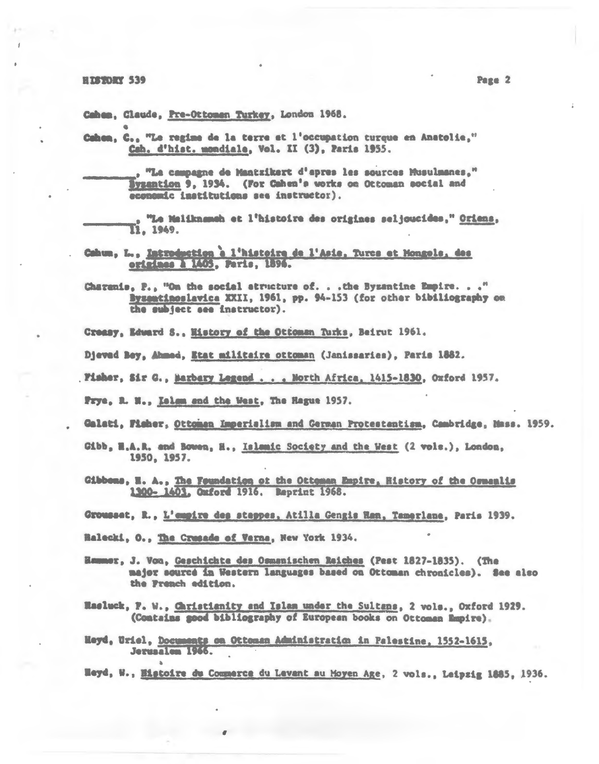Cahea, Claude, Pre-Ottomen Turkey, London 1968.

Cahen, C., "Le regime de la terre et l'occupation turque en Anatolie," Cah. d'hist. mondiale, Vol. II (3), Paris 1955.

> , "La campagne de Mantzikert d'apres les sources Musulmanes," Byzantion 9, 1934. (For Cahen's works on Ottoman social and economic institutions see instructor).

"Le Maliknameh et l'histoire des origines seljoucides," Oriens, I1. 1949.

Cahum, L., Introduction à l'histoire de l'Asie. Turce et Hongels, des origines a 1405, Paris, 1896.

Charanis, P., "On the social atructure of. . . the Byzantine Empire. . . " Byzemtinoslavica XXII, 1961, pp. 94-153 (for other bibiliography on the subject see instructor).

Creasy, Edward S., History of the Ottoman Turks, Beirut 1961.

Djeved Bey, Ahmed, Etat militaire ottoman (Janissaries), Paris 1882.

Fisher, Sir G., Barbary Legend . . . North Africa, 1415-1830, Oxford 1957.

Prye, R. N., Islam and the West, The Hague 1957.

Galati, Fisher, Ottomen Imperialism and Cerman Protestantism, Cambridge, Mass. 1959.

Gibb, H.A.R. and Bowen, H., Islamic Society and the West (2 vols.), London, 1950, 1957.

Gibbons, H. A., The Foundation of the Ottoman Empire, History of the Comenlis 1300-1401. Gmford 1916. Reprint 1968.

Grousset, R., L'empire des stappes, Atilla Gengis Han, Tamerlane, Paris 1939.

Halecki, O., The Crusade of Verna, New York 1934.

Hammer, J. Von, Geschichte des Osmanischen Raiches (Pest 1827-1835). (The major source in Western languages based on Ottoman chronicles). See also the Franch edition.

Hasluck, P. W., Caristianity and Islam under the Sultans, 2 vols., Oxford 1929. (Contains good bibliography of European books on Ottoman Mapire).

Heyd, Uriel, Documents on Ottoman Administration in Palestine. 1552-1615. Jerusalen 1966.

Heyd, W., Histoire du Commerce du Levant au Moyen Age, 2 vols., Leipzig 1885, 1936.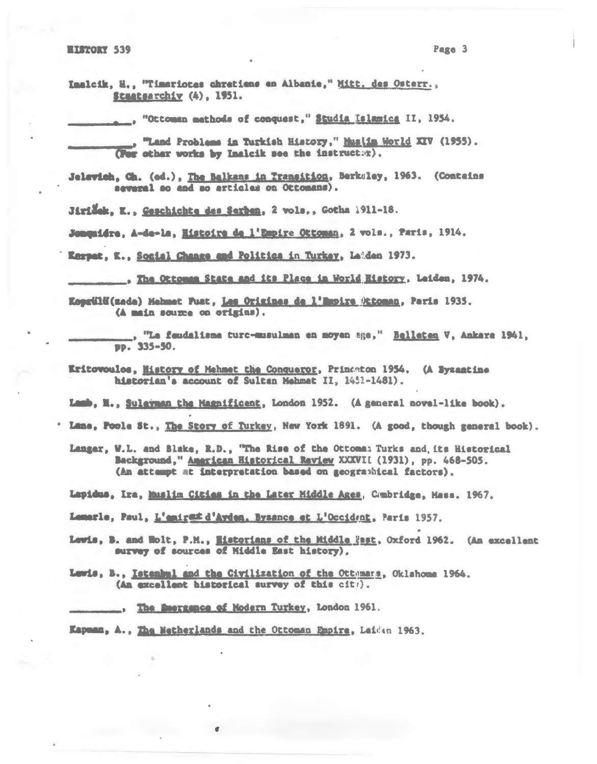Page 3

Imalcik, H., "Timariotes chretiens en Albanie," Mitt. des Osterr., Staatsarchiv (4), 1951.

"Ottoman mathods of conquest," Studia Islamica II, 1954.

. "Land Problems in Turkish History," Musita World XIV (1955). (For other works by Insleik see the instructor).

Jelevich, Ch. (ed.), The Balkans in Transition, Berkeley, 1963. (Contains several so and so articles on Ottomans).

Jiridek, K., Geschichte des Serben, 2 vols., Gotha 1911-18.

Jonquidre, A-de-la, Histoire de l'Empire Ottoman, 2 vols., Paris, 1914.

Karpat, K., Social Chance and Politics in Turkey, Laiden 1973.

. The Ottoman State and its Place in World History, Leiden, 1974.

Koprülü(zade) Mehmet Puat, Les Origines de l'Empire Attoman, Paris 1935. (A main source on origins).

., "Le feudalisme turc-musulman en moyen age," Belleten V, Ankara 1941, вр. 335-50.

Eritowoulos, Mistory of Mehmet the Conqueror, Princeton 1954. (A Byzantine historian's account of Sultan Mehmet II, 1451-1481).

Lamb, H., Suleyman the Magnificent, London 1952. (A general novel-like book).

' Lame, Poole St., The Story of Turkey, New York 1891. (A good, though general book).

Langer, W.L. and Blake, R.D., "The Rise of the Ottoma: Turks and, its Historical Background," American Historical Review XXXVII (1931), pp. 468-505. (An attempt at interpretation based on geographical factors).

Lapidus, Ira, Maslim Cities in the Later Middle Ages, Cumbridge, Mass. 1967.

Lamarle, Paul, L'aniraz d'Aydan, Byzance et L'Occident, Paris 1957.

Lewis, B. and Holt, P.M., Historians of the Middle Past, Oxford 1962. (An excellent survey of sources of Middle East history),

Lewis, B., Istanbul and the Civilization of the Ottmars, Oklahoma 1964. (An excellent historical survey of this cit).

Kapman, A., The Metherlands and the Ottoman Empire, Leiden 1963.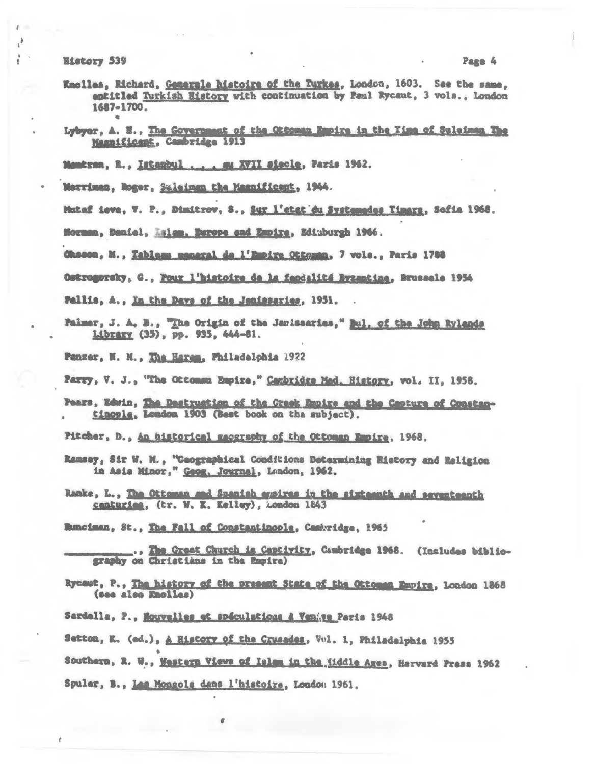**History 539** 

 $\lambda$ 

- Knollas, Richard, Generale histoire of the Turkes, London, 1603. See the same. entitled Turkish History with continuation by Paul Rycaut, 3 vols., London 1687-1700.
- Lybyer, A. H., The Government of the Ottoman Empire in the Time of Suleiman The Masnificent, Cambridge 1913
- Membran, R., Istanbul... . . ww XVII siecle, Paris 1962.
- Merriman, Roger, Suleiman the Magnificent, 1944.
- Mataf ieva, V. P., Dimitrov, S., Sur l'etat du Systemades Timars, Sofia 1968.
- Norman, Daniel, Eslam, Europe and Empire, Ediuburgh 1966.
- Chasca, M., Tableau manaral da l'Empire Ottgann, 7 vols., Paris 1788
- Ostrogorsky, G., <u>Pour l'histoire de la feodalité Byzantine</u>, Brussels 1954
- Pallis, A., In the Days of the Janissaries, 1951.
- Palmer, J. A. B., "The Origin of the Janissaries," Bul. of the John Rylands Library (35), pp. 935, 444-81.
- Penzer, N. M., The Harem, Philadelphia 1922

Parry, V. J., "The Ottomsn Empire," Cambridge Med. History, vol. II, 1958.

Pears, Edwin, The Destruction of the Greek Empire and the Cepture of Constantinople, London 1903 (Best book on the subject).

Pitcher, D., An historical massrsphy of the Ottoman Empire, 1968.

- Ramsey, Sir W. M., "Geographical Conditions Determining History and Religion in Asia Minor," Geog. Journal, Lundon, 1962.
- Ranke, L., The Ottoman and Spanish expires in the sixteenth and seventeenth centuries, (tr. W. K. Kelley), Aondon 1843

Runciman, St., The Fall of Constantinople, Cambridge, 1965

- Rycaut, P., The history of the present State of the Ottoman Empire, London 1868 (see also Enolias)
- Sardella, P., Mouvelles et spéculations à Ventje Paris 1948
- Setton, K. (ed.), A Ristory of the Crusedes, Vol. 1. Philadelphia 1955
- Southern, R. W., Western Views of Islam in the Widdle Ages, Harvard Press 1962
- Spuler, B., Les Monsols dans l'histoire, London 1961.

 $\theta$ 

<sup>.,</sup> The Great Church is Captivity, Cambridge 1968. (Includes bibliography on Christians in the Empire)